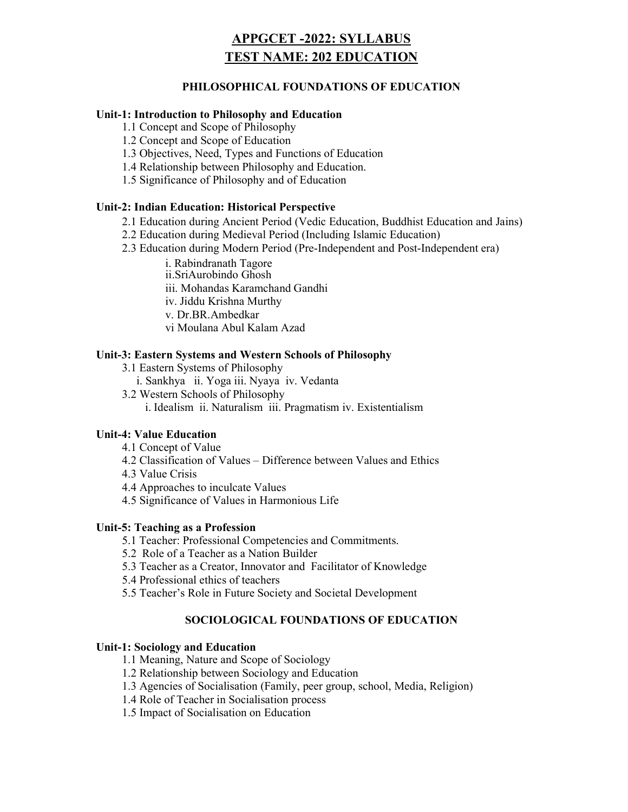# APPGCET -2022: SYLLABUS TEST NAME: 202 EDUCATION

## PHILOSOPHICAL FOUNDATIONS OF EDUCATION

#### Unit-1: Introduction to Philosophy and Education

1.1 Concept and Scope of Philosophy

1.2 Concept and Scope of Education

1.3 Objectives, Need, Types and Functions of Education

1.4 Relationship between Philosophy and Education.

1.5 Significance of Philosophy and of Education

#### Unit-2: Indian Education: Historical Perspective

2.1 Education during Ancient Period (Vedic Education, Buddhist Education and Jains)

2.2 Education during Medieval Period (Including Islamic Education)

2.3 Education during Modern Period (Pre-Independent and Post-Independent era)

i. Rabindranath Tagore

ii.SriAurobindo Ghosh

iii. Mohandas Karamchand Gandhi

iv. Jiddu Krishna Murthy

v. Dr.BR.Ambedkar

vi Moulana Abul Kalam Azad

#### Unit-3: Eastern Systems and Western Schools of Philosophy

3.1 Eastern Systems of Philosophy

i. Sankhya ii. Yoga iii. Nyaya iv. Vedanta

3.2 Western Schools of Philosophy

i. Idealism ii. Naturalism iii. Pragmatism iv. Existentialism

#### Unit-4: Value Education

- 4.1 Concept of Value
- 4.2 Classification of Values Difference between Values and Ethics
- 4.3 Value Crisis

4.4 Approaches to inculcate Values

4.5 Significance of Values in Harmonious Life

#### Unit-5: Teaching as a Profession

5.1 Teacher: Professional Competencies and Commitments.

5.2 Role of a Teacher as a Nation Builder

5.3 Teacher as a Creator, Innovator and Facilitator of Knowledge

5.4 Professional ethics of teachers

5.5 Teacher's Role in Future Society and Societal Development

## SOCIOLOGICAL FOUNDATIONS OF EDUCATION

#### Unit-1: Sociology and Education

1.1 Meaning, Nature and Scope of Sociology

1.2 Relationship between Sociology and Education

1.3 Agencies of Socialisation (Family, peer group, school, Media, Religion)

1.4 Role of Teacher in Socialisation process

1.5 Impact of Socialisation on Education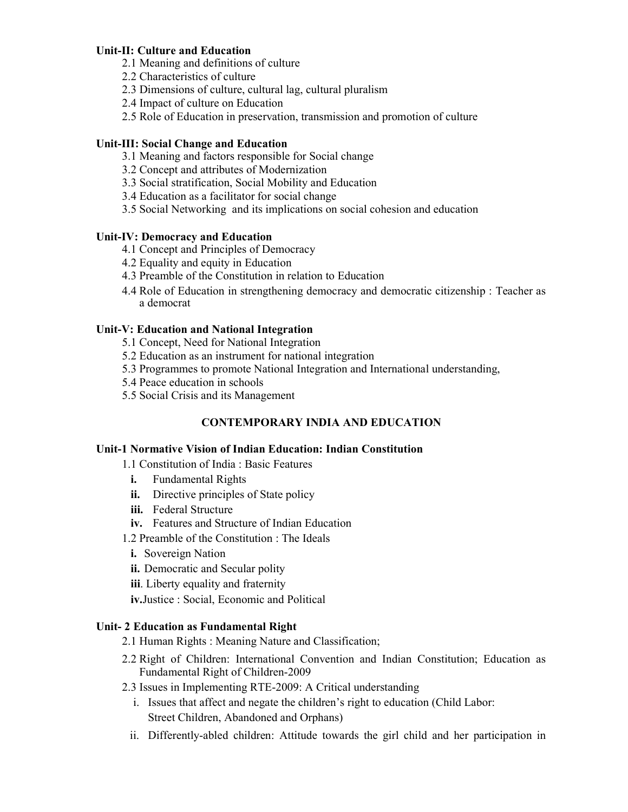## Unit-II: Culture and Education

- 2.1 Meaning and definitions of culture
- 2.2 Characteristics of culture
- 2.3 Dimensions of culture, cultural lag, cultural pluralism
- 2.4 Impact of culture on Education
- 2.5 Role of Education in preservation, transmission and promotion of culture

## Unit-III: Social Change and Education

- 3.1 Meaning and factors responsible for Social change
- 3.2 Concept and attributes of Modernization
- 3.3 Social stratification, Social Mobility and Education
- 3.4 Education as a facilitator for social change
- 3.5 Social Networking and its implications on social cohesion and education

## Unit-IV: Democracy and Education

- 4.1 Concept and Principles of Democracy
- 4.2 Equality and equity in Education
- 4.3 Preamble of the Constitution in relation to Education
- 4.4 Role of Education in strengthening democracy and democratic citizenship : Teacher as a democrat

## Unit-V: Education and National Integration

- 5.1 Concept, Need for National Integration
- 5.2 Education as an instrument for national integration
- 5.3 Programmes to promote National Integration and International understanding,
- 5.4 Peace education in schools
- 5.5 Social Crisis and its Management

## CONTEMPORARY INDIA AND EDUCATION

#### Unit-1 Normative Vision of Indian Education: Indian Constitution

- 1.1 Constitution of India : Basic Features
- i. Fundamental Rights
- ii. Directive principles of State policy
- iii. Federal Structure
- iv. Features and Structure of Indian Education
- 1.2 Preamble of the Constitution : The Ideals
- i. Sovereign Nation
- ii. Democratic and Secular polity
- iii. Liberty equality and fraternity

iv.Justice : Social, Economic and Political

#### Unit- 2 Education as Fundamental Right

- 2.1 Human Rights : Meaning Nature and Classification;
- 2.2 Right of Children: International Convention and Indian Constitution; Education as Fundamental Right of Children-2009
- 2.3 Issues in Implementing RTE-2009: A Critical understanding
	- i. Issues that affect and negate the children's right to education (Child Labor: Street Children, Abandoned and Orphans)
	- ii. Differently-abled children: Attitude towards the girl child and her participation in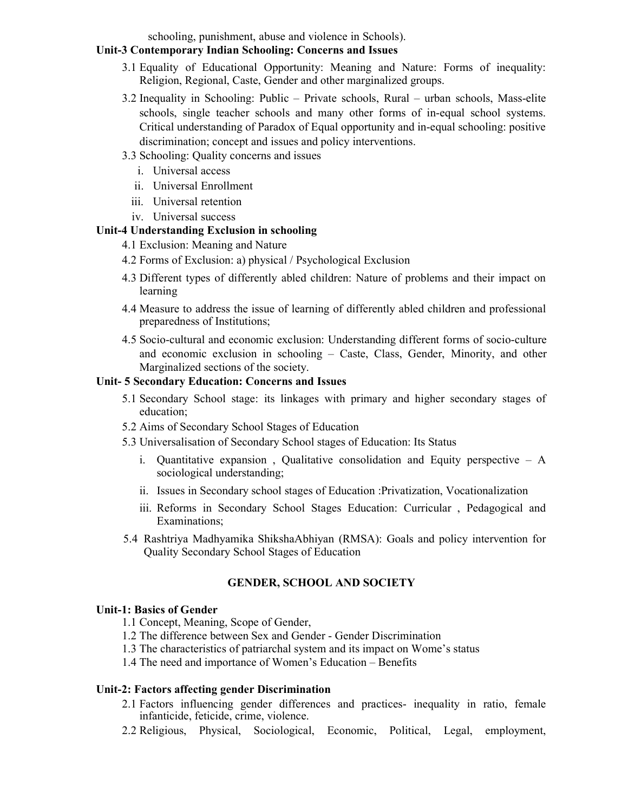schooling, punishment, abuse and violence in Schools).

## Unit-3 Contemporary Indian Schooling: Concerns and Issues

- 3.1 Equality of Educational Opportunity: Meaning and Nature: Forms of inequality: Religion, Regional, Caste, Gender and other marginalized groups.
- 3.2 Inequality in Schooling: Public Private schools, Rural urban schools, Mass-elite schools, single teacher schools and many other forms of in-equal school systems. Critical understanding of Paradox of Equal opportunity and in-equal schooling: positive discrimination; concept and issues and policy interventions.
- 3.3 Schooling: Quality concerns and issues
	- i. Universal access
	- ii. Universal Enrollment
	- iii. Universal retention
	- iv. Universal success

## Unit-4 Understanding Exclusion in schooling

- 4.1 Exclusion: Meaning and Nature
- 4.2 Forms of Exclusion: a) physical / Psychological Exclusion
- 4.3 Different types of differently abled children: Nature of problems and their impact on learning
- 4.4 Measure to address the issue of learning of differently abled children and professional preparedness of Institutions;
- 4.5 Socio-cultural and economic exclusion: Understanding different forms of socio-culture and economic exclusion in schooling – Caste, Class, Gender, Minority, and other Marginalized sections of the society.

### Unit- 5 Secondary Education: Concerns and Issues

- 5.1 Secondary School stage: its linkages with primary and higher secondary stages of education;
- 5.2 Aims of Secondary School Stages of Education
- 5.3 Universalisation of Secondary School stages of Education: Its Status
	- i. Quantitative expansion , Qualitative consolidation and Equity perspective A sociological understanding;
	- ii. Issues in Secondary school stages of Education :Privatization, Vocationalization
	- iii. Reforms in Secondary School Stages Education: Curricular , Pedagogical and Examinations;
- 5.4 Rashtriya Madhyamika ShikshaAbhiyan (RMSA): Goals and policy intervention for Quality Secondary School Stages of Education

## GENDER, SCHOOL AND SOCIETY

#### Unit-1: Basics of Gender

- 1.1 Concept, Meaning, Scope of Gender,
- 1.2 The difference between Sex and Gender Gender Discrimination
- 1.3 The characteristics of patriarchal system and its impact on Wome's status
- 1.4 The need and importance of Women's Education Benefits

## Unit-2: Factors affecting gender Discrimination

- 2.1 Factors influencing gender differences and practices- inequality in ratio, female infanticide, feticide, crime, violence.
- 2.2 Religious, Physical, Sociological, Economic, Political, Legal, employment,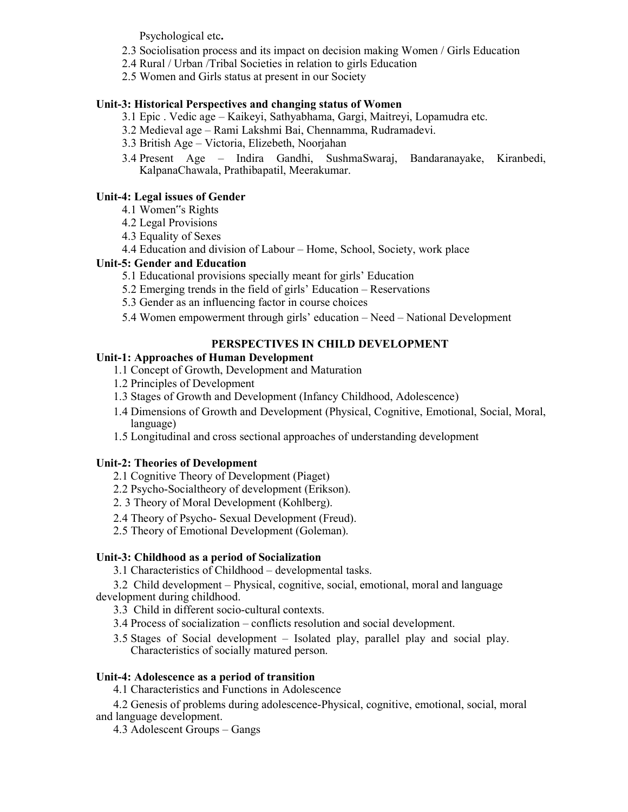Psychological etc.

- 2.3 Sociolisation process and its impact on decision making Women / Girls Education
- 2.4 Rural / Urban /Tribal Societies in relation to girls Education
- 2.5 Women and Girls status at present in our Society

## Unit-3: Historical Perspectives and changing status of Women

- 3.1 Epic . Vedic age Kaikeyi, Sathyabhama, Gargi, Maitreyi, Lopamudra etc.
- 3.2 Medieval age Rami Lakshmi Bai, Chennamma, Rudramadevi.
- 3.3 British Age Victoria, Elizebeth, Noorjahan
- 3.4 Present Age Indira Gandhi, SushmaSwaraj, Bandaranayake, Kiranbedi, KalpanaChawala, Prathibapatil, Meerakumar.

## Unit-4: Legal issues of Gender

- 4.1 Women"s Rights
- 4.2 Legal Provisions
- 4.3 Equality of Sexes
- 4.4 Education and division of Labour Home, School, Society, work place

## Unit-5: Gender and Education

- 5.1 Educational provisions specially meant for girls' Education
- 5.2 Emerging trends in the field of girls' Education Reservations
- 5.3 Gender as an influencing factor in course choices
- 5.4 Women empowerment through girls' education Need National Development

## PERSPECTIVES IN CHILD DEVELOPMENT

## Unit-1: Approaches of Human Development

- 1.1 Concept of Growth, Development and Maturation
- 1.2 Principles of Development
- 1.3 Stages of Growth and Development (Infancy Childhood, Adolescence)
- 1.4 Dimensions of Growth and Development (Physical, Cognitive, Emotional, Social, Moral, language)
- 1.5 Longitudinal and cross sectional approaches of understanding development

## Unit-2: Theories of Development

- 2.1 Cognitive Theory of Development (Piaget)
- 2.2 Psycho-Socialtheory of development (Erikson).
- 2. 3 Theory of Moral Development (Kohlberg).
- 2.4 Theory of Psycho- Sexual Development (Freud).
- 2.5 Theory of Emotional Development (Goleman).

## Unit-3: Childhood as a period of Socialization

3.1 Characteristics of Childhood – developmental tasks.

3.2 Child development – Physical, cognitive, social, emotional, moral and language development during childhood.

3.3 Child in different socio-cultural contexts.

3.4 Process of socialization – conflicts resolution and social development.

3.5 Stages of Social development – Isolated play, parallel play and social play. Characteristics of socially matured person.

## Unit-4: Adolescence as a period of transition

4.1 Characteristics and Functions in Adolescence

4.2 Genesis of problems during adolescence-Physical, cognitive, emotional, social, moral and language development.

4.3 Adolescent Groups – Gangs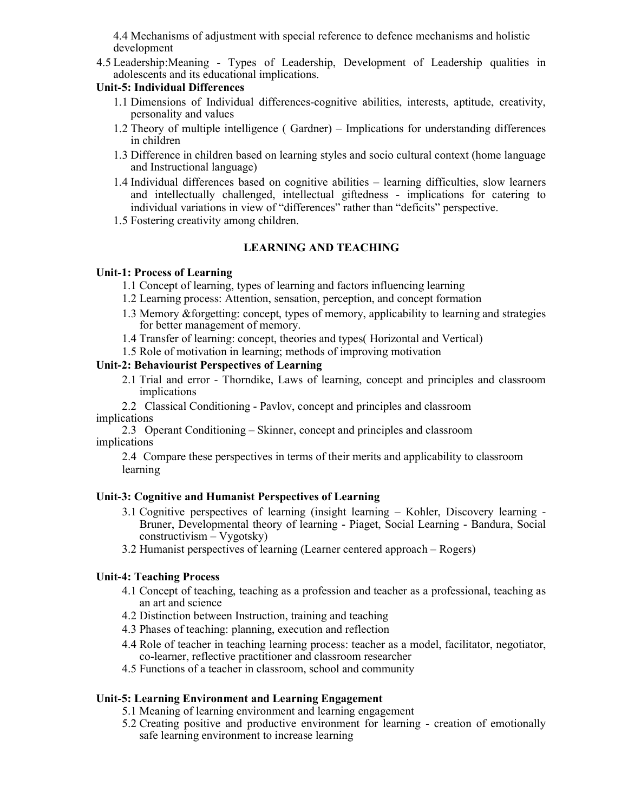4.4 Mechanisms of adjustment with special reference to defence mechanisms and holistic development

4.5 Leadership:Meaning - Types of Leadership, Development of Leadership qualities in adolescents and its educational implications.

#### Unit-5: Individual Differences

- 1.1 Dimensions of Individual differences-cognitive abilities, interests, aptitude, creativity, personality and values
- 1.2 Theory of multiple intelligence ( Gardner) Implications for understanding differences in children
- 1.3 Difference in children based on learning styles and socio cultural context (home language and Instructional language)
- 1.4 Individual differences based on cognitive abilities learning difficulties, slow learners and intellectually challenged, intellectual giftedness - implications for catering to individual variations in view of "differences" rather than "deficits" perspective.
- 1.5 Fostering creativity among children.

## LEARNING AND TEACHING

#### Unit-1: Process of Learning

- 1.1 Concept of learning, types of learning and factors influencing learning
- 1.2 Learning process: Attention, sensation, perception, and concept formation
- 1.3 Memory &forgetting: concept, types of memory, applicability to learning and strategies for better management of memory.
- 1.4 Transfer of learning: concept, theories and types( Horizontal and Vertical)
- 1.5 Role of motivation in learning; methods of improving motivation

#### Unit-2: Behaviourist Perspectives of Learning

- 2.1 Trial and error Thorndike, Laws of learning, concept and principles and classroom implications
- 2.2 Classical Conditioning Pavlov, concept and principles and classroom implications
- 2.3 Operant Conditioning Skinner, concept and principles and classroom implications

2.4 Compare these perspectives in terms of their merits and applicability to classroom learning

#### Unit-3: Cognitive and Humanist Perspectives of Learning

- 3.1 Cognitive perspectives of learning (insight learning Kohler, Discovery learning Bruner, Developmental theory of learning - Piaget, Social Learning - Bandura, Social constructivism – Vygotsky)
- 3.2 Humanist perspectives of learning (Learner centered approach Rogers)

#### Unit-4: Teaching Process

- 4.1 Concept of teaching, teaching as a profession and teacher as a professional, teaching as an art and science
- 4.2 Distinction between Instruction, training and teaching
- 4.3 Phases of teaching: planning, execution and reflection
- 4.4 Role of teacher in teaching learning process: teacher as a model, facilitator, negotiator, co-learner, reflective practitioner and classroom researcher
- 4.5 Functions of a teacher in classroom, school and community

## Unit-5: Learning Environment and Learning Engagement

- 5.1 Meaning of learning environment and learning engagement
- 5.2 Creating positive and productive environment for learning creation of emotionally safe learning environment to increase learning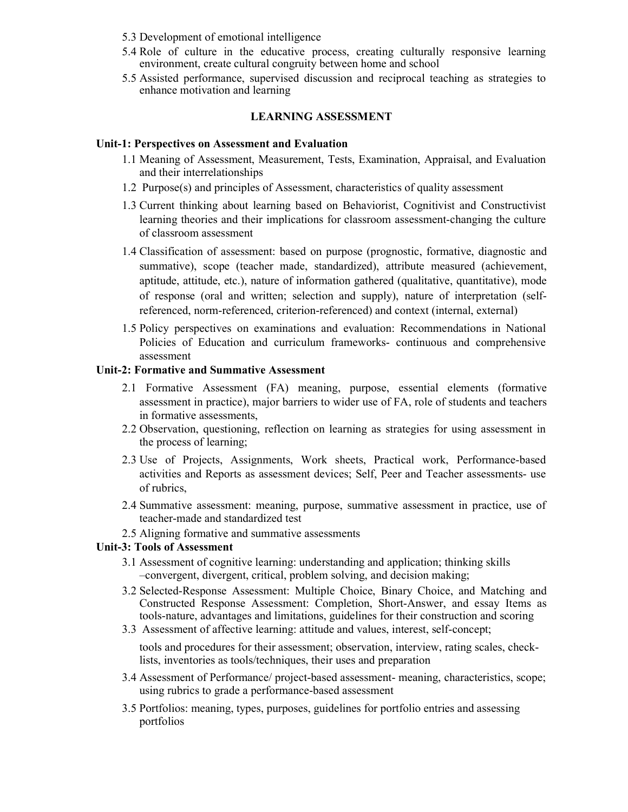- 5.3 Development of emotional intelligence
- 5.4 Role of culture in the educative process, creating culturally responsive learning environment, create cultural congruity between home and school
- 5.5 Assisted performance, supervised discussion and reciprocal teaching as strategies to enhance motivation and learning

#### LEARNING ASSESSMENT

#### Unit-1: Perspectives on Assessment and Evaluation

- 1.1 Meaning of Assessment, Measurement, Tests, Examination, Appraisal, and Evaluation and their interrelationships
- 1.2 Purpose(s) and principles of Assessment, characteristics of quality assessment
- 1.3 Current thinking about learning based on Behaviorist, Cognitivist and Constructivist learning theories and their implications for classroom assessment-changing the culture of classroom assessment
- 1.4 Classification of assessment: based on purpose (prognostic, formative, diagnostic and summative), scope (teacher made, standardized), attribute measured (achievement, aptitude, attitude, etc.), nature of information gathered (qualitative, quantitative), mode of response (oral and written; selection and supply), nature of interpretation (selfreferenced, norm-referenced, criterion-referenced) and context (internal, external)
- 1.5 Policy perspectives on examinations and evaluation: Recommendations in National Policies of Education and curriculum frameworks- continuous and comprehensive assessment

#### Unit-2: Formative and Summative Assessment

- 2.1 Formative Assessment (FA) meaning, purpose, essential elements (formative assessment in practice), major barriers to wider use of FA, role of students and teachers in formative assessments,
- 2.2 Observation, questioning, reflection on learning as strategies for using assessment in the process of learning;
- 2.3 Use of Projects, Assignments, Work sheets, Practical work, Performance-based activities and Reports as assessment devices; Self, Peer and Teacher assessments- use of rubrics,
- 2.4 Summative assessment: meaning, purpose, summative assessment in practice, use of teacher-made and standardized test
- 2.5 Aligning formative and summative assessments

## Unit-3: Tools of Assessment

- 3.1 Assessment of cognitive learning: understanding and application; thinking skills –convergent, divergent, critical, problem solving, and decision making;
- 3.2 Selected-Response Assessment: Multiple Choice, Binary Choice, and Matching and Constructed Response Assessment: Completion, Short-Answer, and essay Items as tools-nature, advantages and limitations, guidelines for their construction and scoring
- 3.3 Assessment of affective learning: attitude and values, interest, self-concept;

tools and procedures for their assessment; observation, interview, rating scales, checklists, inventories as tools/techniques, their uses and preparation

- 3.4 Assessment of Performance/ project-based assessment- meaning, characteristics, scope; using rubrics to grade a performance-based assessment
- 3.5 Portfolios: meaning, types, purposes, guidelines for portfolio entries and assessing portfolios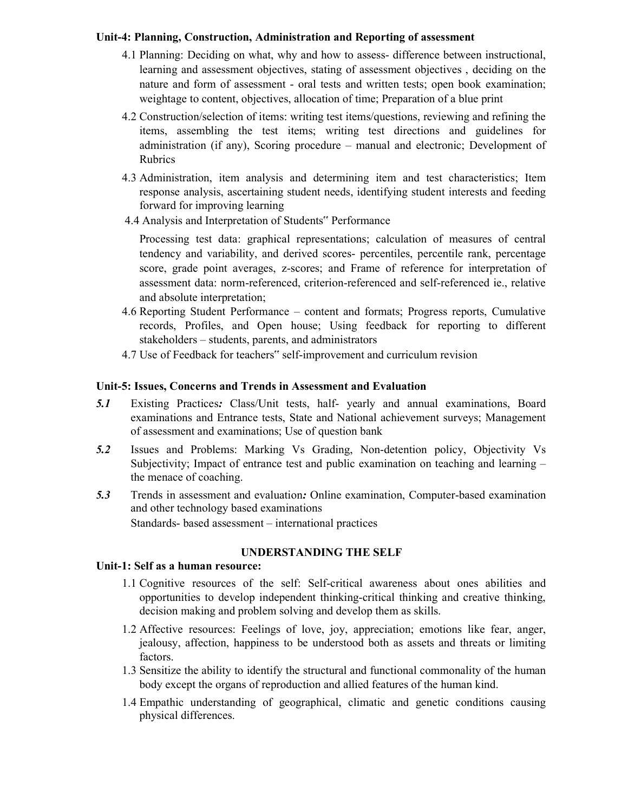### Unit-4: Planning, Construction, Administration and Reporting of assessment

- 4.1 Planning: Deciding on what, why and how to assess- difference between instructional, learning and assessment objectives, stating of assessment objectives , deciding on the nature and form of assessment - oral tests and written tests; open book examination; weightage to content, objectives, allocation of time; Preparation of a blue print
- 4.2 Construction/selection of items: writing test items/questions, reviewing and refining the items, assembling the test items; writing test directions and guidelines for administration (if any), Scoring procedure – manual and electronic; Development of Rubrics
- 4.3 Administration, item analysis and determining item and test characteristics; Item response analysis, ascertaining student needs, identifying student interests and feeding forward for improving learning
- 4.4 Analysis and Interpretation of Students" Performance

Processing test data: graphical representations; calculation of measures of central tendency and variability, and derived scores- percentiles, percentile rank, percentage score, grade point averages, z-scores; and Frame of reference for interpretation of assessment data: norm-referenced, criterion-referenced and self-referenced ie., relative and absolute interpretation;

- 4.6 Reporting Student Performance content and formats; Progress reports, Cumulative records, Profiles, and Open house; Using feedback for reporting to different stakeholders – students, parents, and administrators
- 4.7 Use of Feedback for teachers" self-improvement and curriculum revision

#### Unit-5: Issues, Concerns and Trends in Assessment and Evaluation

- 5.1 Existing Practices: Class/Unit tests, half- yearly and annual examinations, Board examinations and Entrance tests, State and National achievement surveys; Management of assessment and examinations; Use of question bank
- 5.2 Issues and Problems: Marking Vs Grading, Non-detention policy, Objectivity Vs Subjectivity; Impact of entrance test and public examination on teaching and learning – the menace of coaching.
- 5.3 Trends in assessment and evaluation: Online examination, Computer-based examination and other technology based examinations Standards- based assessment – international practices

#### UNDERSTANDING THE SELF

#### Unit-1: Self as a human resource:

- 1.1 Cognitive resources of the self: Self-critical awareness about ones abilities and opportunities to develop independent thinking-critical thinking and creative thinking, decision making and problem solving and develop them as skills.
- 1.2 Affective resources: Feelings of love, joy, appreciation; emotions like fear, anger, jealousy, affection, happiness to be understood both as assets and threats or limiting factors.
- 1.3 Sensitize the ability to identify the structural and functional commonality of the human body except the organs of reproduction and allied features of the human kind.
- 1.4 Empathic understanding of geographical, climatic and genetic conditions causing physical differences.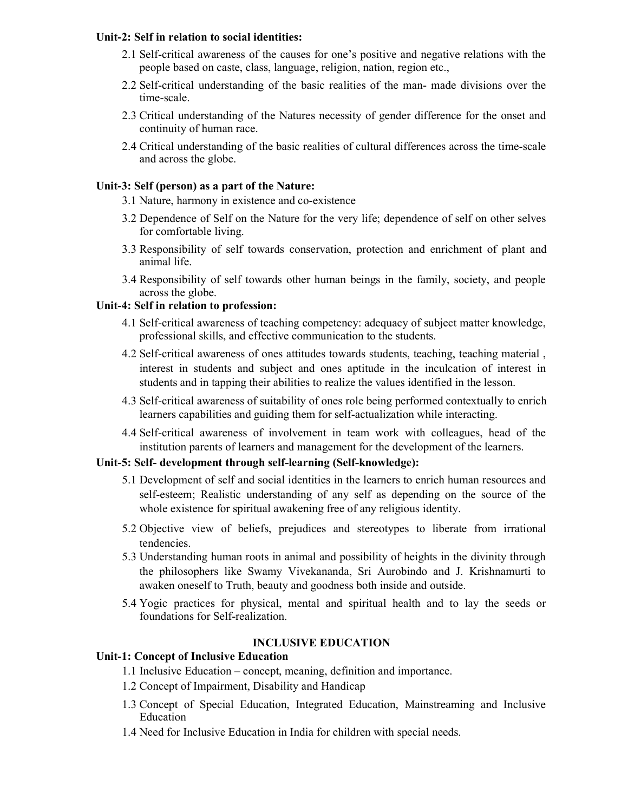#### Unit-2: Self in relation to social identities:

- 2.1 Self-critical awareness of the causes for one's positive and negative relations with the people based on caste, class, language, religion, nation, region etc.,
- 2.2 Self-critical understanding of the basic realities of the man- made divisions over the time-scale.
- 2.3 Critical understanding of the Natures necessity of gender difference for the onset and continuity of human race.
- 2.4 Critical understanding of the basic realities of cultural differences across the time-scale and across the globe.

#### Unit-3: Self (person) as a part of the Nature:

3.1 Nature, harmony in existence and co-existence

- 3.2 Dependence of Self on the Nature for the very life; dependence of self on other selves for comfortable living.
- 3.3 Responsibility of self towards conservation, protection and enrichment of plant and animal life.
- 3.4 Responsibility of self towards other human beings in the family, society, and people across the globe.

#### Unit-4: Self in relation to profession:

- 4.1 Self-critical awareness of teaching competency: adequacy of subject matter knowledge, professional skills, and effective communication to the students.
- 4.2 Self-critical awareness of ones attitudes towards students, teaching, teaching material , interest in students and subject and ones aptitude in the inculcation of interest in students and in tapping their abilities to realize the values identified in the lesson.
- 4.3 Self-critical awareness of suitability of ones role being performed contextually to enrich learners capabilities and guiding them for self-actualization while interacting.
- 4.4 Self-critical awareness of involvement in team work with colleagues, head of the institution parents of learners and management for the development of the learners.

## Unit-5: Self- development through self-learning (Self-knowledge):

- 5.1 Development of self and social identities in the learners to enrich human resources and self-esteem; Realistic understanding of any self as depending on the source of the whole existence for spiritual awakening free of any religious identity.
- 5.2 Objective view of beliefs, prejudices and stereotypes to liberate from irrational tendencies.
- 5.3 Understanding human roots in animal and possibility of heights in the divinity through the philosophers like Swamy Vivekananda, Sri Aurobindo and J. Krishnamurti to awaken oneself to Truth, beauty and goodness both inside and outside.
- 5.4 Yogic practices for physical, mental and spiritual health and to lay the seeds or foundations for Self-realization.

## INCLUSIVE EDUCATION

## Unit-1: Concept of Inclusive Education

- 1.1 Inclusive Education concept, meaning, definition and importance.
- 1.2 Concept of Impairment, Disability and Handicap
- 1.3 Concept of Special Education, Integrated Education, Mainstreaming and Inclusive Education
- 1.4 Need for Inclusive Education in India for children with special needs.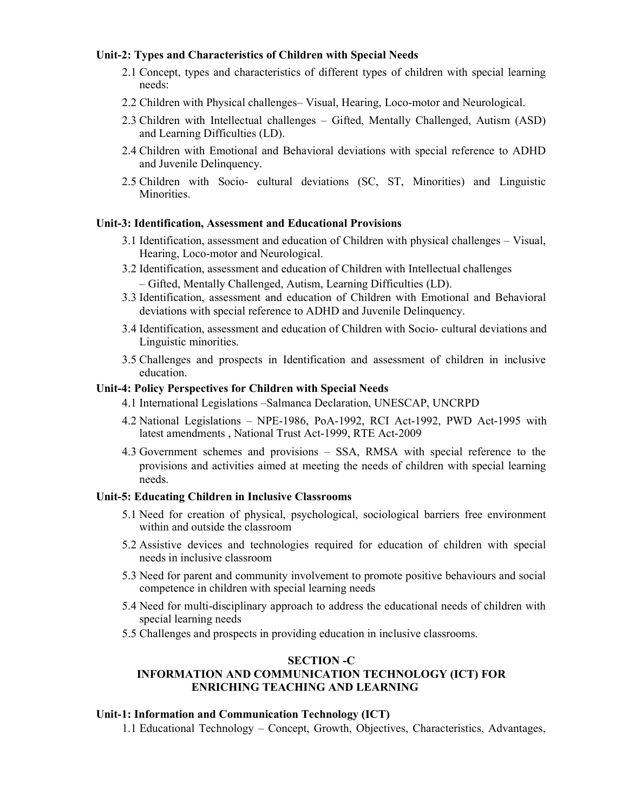#### Unit-2: Types and Characteristics of Children with Special Needs

- 2.1 Concept, types and characteristics of different types of children with special learning needs:
- 2.2 Children with Physical challenges– Visual, Hearing, Loco-motor and Neurological.
- 2.3 Children with Intellectual challenges Gifted, Mentally Challenged, Autism (ASD) and Learning Difficulties (LD).
- 2.4 Children with Emotional and Behavioral deviations with special reference to ADHD and Juvenile Delinquency.
- 2.5 Children with Socio- cultural deviations (SC, ST, Minorities) and Linguistic Minorities.

### Unit-3: Identification, Assessment and Educational Provisions

- 3.1 Identification, assessment and education of Children with physical challenges Visual, Hearing, Loco-motor and Neurological.
- 3.2 Identification, assessment and education of Children with Intellectual challenges – Gifted, Mentally Challenged, Autism, Learning Difficulties (LD).
- 3.3 Identification, assessment and education of Children with Emotional and Behavioral deviations with special reference to ADHD and Juvenile Delinquency.
- 3.4 Identification, assessment and education of Children with Socio- cultural deviations and Linguistic minorities.
- 3.5 Challenges and prospects in Identification and assessment of children in inclusive education.

#### Unit-4: Policy Perspectives for Children with Special Needs

- 4.1 International Legislations –Salmanca Declaration, UNESCAP, UNCRPD
- 4.2 National Legislations NPE-1986, PoA-1992, RCI Act-1992, PWD Act-1995 with latest amendments , National Trust Act-1999, RTE Act-2009
- 4.3 Government schemes and provisions SSA, RMSA with special reference to the provisions and activities aimed at meeting the needs of children with special learning needs.

### Unit-5: Educating Children in Inclusive Classrooms

- 5.1 Need for creation of physical, psychological, sociological barriers free environment within and outside the classroom
- 5.2 Assistive devices and technologies required for education of children with special needs in inclusive classroom
- 5.3 Need for parent and community involvement to promote positive behaviours and social competence in children with special learning needs
- 5.4 Need for multi-disciplinary approach to address the educational needs of children with special learning needs
- 5.5 Challenges and prospects in providing education in inclusive classrooms.

#### SECTION -C

## INFORMATION AND COMMUNICATION TECHNOLOGY (ICT) FOR ENRICHING TEACHING AND LEARNING

#### Unit-1: Information and Communication Technology (ICT)

1.1 Educational Technology – Concept, Growth, Objectives, Characteristics, Advantages,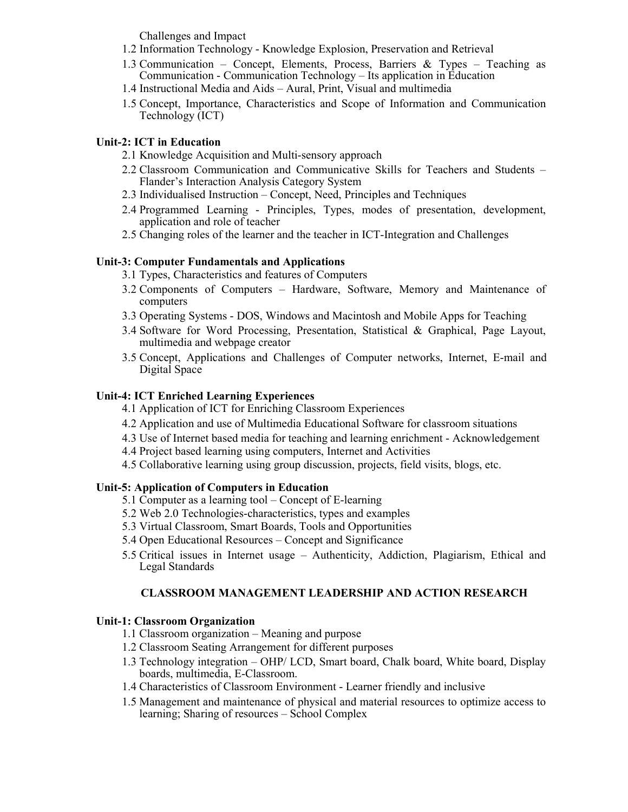Challenges and Impact

- 1.2 Information Technology Knowledge Explosion, Preservation and Retrieval
- 1.3 Communication Concept, Elements, Process, Barriers & Types Teaching as Communication - Communication Technology – Its application in Education
- 1.4 Instructional Media and Aids Aural, Print, Visual and multimedia
- 1.5 Concept, Importance, Characteristics and Scope of Information and Communication Technology (ICT)

## Unit-2: ICT in Education

- 2.1 Knowledge Acquisition and Multi-sensory approach
- 2.2 Classroom Communication and Communicative Skills for Teachers and Students Flander's Interaction Analysis Category System
- 2.3 Individualised Instruction Concept, Need, Principles and Techniques
- 2.4 Programmed Learning Principles, Types, modes of presentation, development, application and role of teacher
- 2.5 Changing roles of the learner and the teacher in ICT-Integration and Challenges

## Unit-3: Computer Fundamentals and Applications

- 3.1 Types, Characteristics and features of Computers
- 3.2 Components of Computers Hardware, Software, Memory and Maintenance of computers
- 3.3 Operating Systems DOS, Windows and Macintosh and Mobile Apps for Teaching
- 3.4 Software for Word Processing, Presentation, Statistical & Graphical, Page Layout, multimedia and webpage creator
- 3.5 Concept, Applications and Challenges of Computer networks, Internet, E-mail and Digital Space

## Unit-4: ICT Enriched Learning Experiences

- 4.1 Application of ICT for Enriching Classroom Experiences
- 4.2 Application and use of Multimedia Educational Software for classroom situations
- 4.3 Use of Internet based media for teaching and learning enrichment Acknowledgement
- 4.4 Project based learning using computers, Internet and Activities
- 4.5 Collaborative learning using group discussion, projects, field visits, blogs, etc.

## Unit-5: Application of Computers in Education

- 5.1 Computer as a learning tool Concept of E-learning
- 5.2 Web 2.0 Technologies-characteristics, types and examples
- 5.3 Virtual Classroom, Smart Boards, Tools and Opportunities
- 5.4 Open Educational Resources Concept and Significance
- 5.5 Critical issues in Internet usage Authenticity, Addiction, Plagiarism, Ethical and Legal Standards

## CLASSROOM MANAGEMENT LEADERSHIP AND ACTION RESEARCH

#### Unit-1: Classroom Organization

- 1.1 Classroom organization Meaning and purpose
- 1.2 Classroom Seating Arrangement for different purposes
- 1.3 Technology integration OHP/ LCD, Smart board, Chalk board, White board, Display boards, multimedia, E-Classroom.
- 1.4 Characteristics of Classroom Environment Learner friendly and inclusive
- 1.5 Management and maintenance of physical and material resources to optimize access to learning; Sharing of resources – School Complex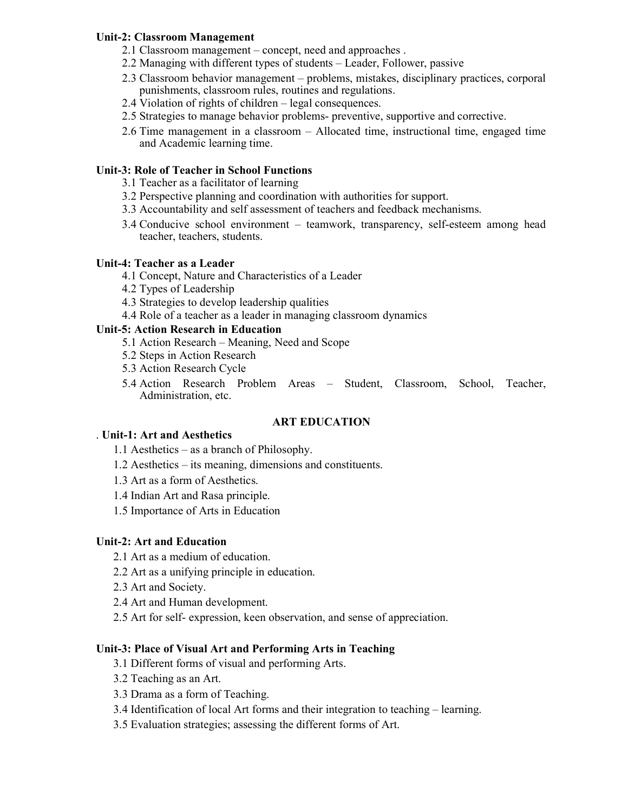### Unit-2: Classroom Management

- 2.1 Classroom management concept, need and approaches .
- 2.2 Managing with different types of students Leader, Follower, passive
- 2.3 Classroom behavior management problems, mistakes, disciplinary practices, corporal punishments, classroom rules, routines and regulations.
- 2.4 Violation of rights of children legal consequences.
- 2.5 Strategies to manage behavior problems- preventive, supportive and corrective.
- 2.6 Time management in a classroom Allocated time, instructional time, engaged time and Academic learning time.

## Unit-3: Role of Teacher in School Functions

- 3.1 Teacher as a facilitator of learning
- 3.2 Perspective planning and coordination with authorities for support.
- 3.3 Accountability and self assessment of teachers and feedback mechanisms.
- 3.4 Conducive school environment teamwork, transparency, self-esteem among head teacher, teachers, students.

## Unit-4: Teacher as a Leader

- 4.1 Concept, Nature and Characteristics of a Leader
- 4.2 Types of Leadership
- 4.3 Strategies to develop leadership qualities
- 4.4 Role of a teacher as a leader in managing classroom dynamics

## Unit-5: Action Research in Education

- 5.1 Action Research Meaning, Need and Scope
- 5.2 Steps in Action Research
- 5.3 Action Research Cycle
- 5.4 Action Research Problem Areas Student, Classroom, School, Teacher, Administration, etc.

## ART EDUCATION

#### . Unit-1: Art and Aesthetics

- 1.1 Aesthetics as a branch of Philosophy.
- 1.2 Aesthetics its meaning, dimensions and constituents.
- 1.3 Art as a form of Aesthetics.
- 1.4 Indian Art and Rasa principle.
- 1.5 Importance of Arts in Education

## Unit-2: Art and Education

- 2.1 Art as a medium of education.
- 2.2 Art as a unifying principle in education.
- 2.3 Art and Society.
- 2.4 Art and Human development.
- 2.5 Art for self- expression, keen observation, and sense of appreciation.

## Unit-3: Place of Visual Art and Performing Arts in Teaching

- 3.1 Different forms of visual and performing Arts.
- 3.2 Teaching as an Art.
- 3.3 Drama as a form of Teaching.
- 3.4 Identification of local Art forms and their integration to teaching learning.
- 3.5 Evaluation strategies; assessing the different forms of Art.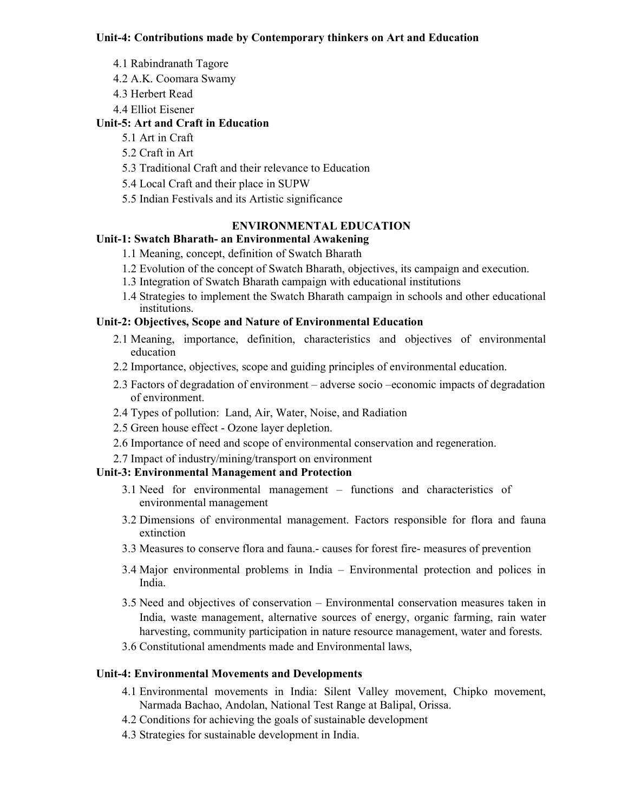#### Unit-4: Contributions made by Contemporary thinkers on Art and Education

- 4.1 Rabindranath Tagore
- 4.2 A.K. Coomara Swamy
- 4.3 Herbert Read
- 4.4 Elliot Eisener

## Unit-5: Art and Craft in Education

- 5.1 Art in Craft
- 5.2 Craft in Art
- 5.3 Traditional Craft and their relevance to Education
- 5.4 Local Craft and their place in SUPW
- 5.5 Indian Festivals and its Artistic significance

## ENVIRONMENTAL EDUCATION

## Unit-1: Swatch Bharath- an Environmental Awakening

- 1.1 Meaning, concept, definition of Swatch Bharath
- 1.2 Evolution of the concept of Swatch Bharath, objectives, its campaign and execution.
- 1.3 Integration of Swatch Bharath campaign with educational institutions
- 1.4 Strategies to implement the Swatch Bharath campaign in schools and other educational institutions.

## Unit-2: Objectives, Scope and Nature of Environmental Education

- 2.1 Meaning, importance, definition, characteristics and objectives of environmental education
- 2.2 Importance, objectives, scope and guiding principles of environmental education.
- 2.3 Factors of degradation of environment adverse socio –economic impacts of degradation of environment.
- 2.4 Types of pollution: Land, Air, Water, Noise, and Radiation
- 2.5 Green house effect Ozone layer depletion.
- 2.6 Importance of need and scope of environmental conservation and regeneration.
- 2.7 Impact of industry/mining/transport on environment

#### Unit-3: Environmental Management and Protection

- 3.1 Need for environmental management functions and characteristics of environmental management
- 3.2 Dimensions of environmental management. Factors responsible for flora and fauna extinction
- 3.3 Measures to conserve flora and fauna.- causes for forest fire- measures of prevention
- 3.4 Major environmental problems in India Environmental protection and polices in India.
- 3.5 Need and objectives of conservation Environmental conservation measures taken in India, waste management, alternative sources of energy, organic farming, rain water harvesting, community participation in nature resource management, water and forests.
- 3.6 Constitutional amendments made and Environmental laws,

## Unit-4: Environmental Movements and Developments

- 4.1 Environmental movements in India: Silent Valley movement, Chipko movement, Narmada Bachao, Andolan, National Test Range at Balipal, Orissa.
- 4.2 Conditions for achieving the goals of sustainable development
- 4.3 Strategies for sustainable development in India.